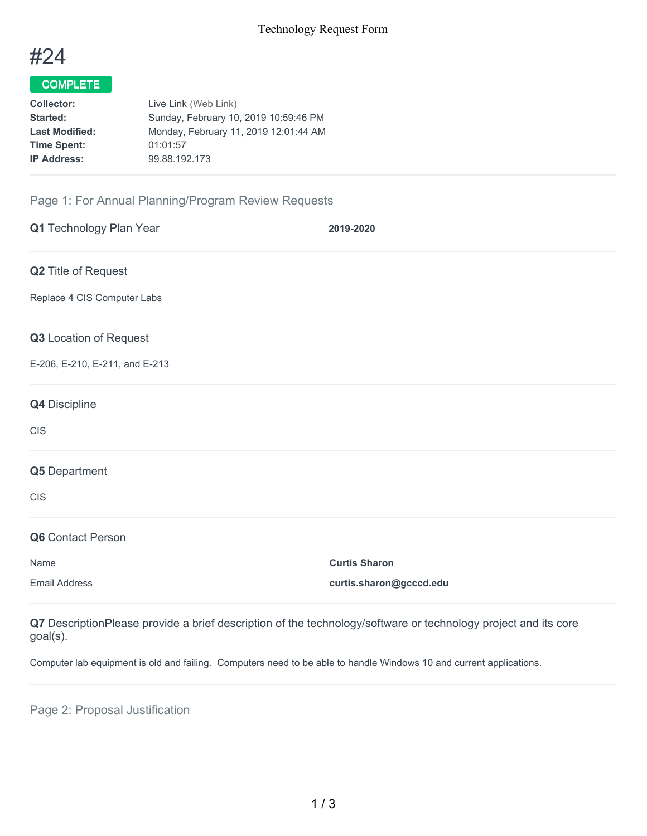

## COMPLETE

| Collector:            | Live Link (Web Link)                  |
|-----------------------|---------------------------------------|
| Started:              | Sunday, February 10, 2019 10:59:46 PM |
| <b>Last Modified:</b> | Monday, February 11, 2019 12:01:44 AM |
| <b>Time Spent:</b>    | 01:01:57                              |
| <b>IP Address:</b>    | 99.88.192.173                         |
|                       |                                       |

## Page 1: For Annual Planning/Program Review Requests

| Q1 Technology Plan Year        | 2019-2020               |
|--------------------------------|-------------------------|
| Q2 Title of Request            |                         |
| Replace 4 CIS Computer Labs    |                         |
| Q3 Location of Request         |                         |
| E-206, E-210, E-211, and E-213 |                         |
| Q4 Discipline                  |                         |
| <b>CIS</b>                     |                         |
| Q5 Department                  |                         |
| <b>CIS</b>                     |                         |
| Q6 Contact Person              |                         |
| Name                           | <b>Curtis Sharon</b>    |
| <b>Email Address</b>           | curtis.sharon@gcccd.edu |

**Q7** DescriptionPlease provide a brief description of the technology/software or technology project and its core goal(s).

Computer lab equipment is old and failing. Computers need to be able to handle Windows 10 and current applications.

Page 2: Proposal Justification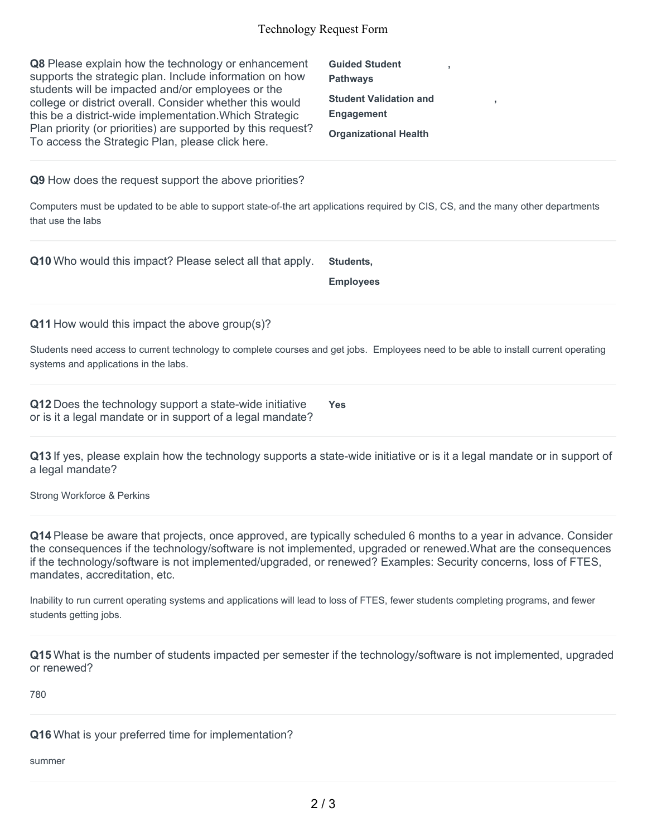## Technology Request Form

| Q8 Please explain how the technology or enhancement<br>supports the strategic plan. Include information on how<br>students will be impacted and/or employees or the<br>college or district overall. Consider whether this would<br>this be a district-wide implementation. Which Strategic<br>Plan priority (or priorities) are supported by this request?<br>To access the Strategic Plan, please click here. | <b>Guided Student</b><br><b>Pathways</b><br><b>Student Validation and</b><br>×<br><b>Engagement</b><br><b>Organizational Health</b> |
|----------------------------------------------------------------------------------------------------------------------------------------------------------------------------------------------------------------------------------------------------------------------------------------------------------------------------------------------------------------------------------------------------------------|-------------------------------------------------------------------------------------------------------------------------------------|
| Q9 How does the request support the above priorities?                                                                                                                                                                                                                                                                                                                                                          |                                                                                                                                     |
| Computers must be updated to be able to support state-of-the art applications required by CIS, CS, and the many other departments<br>that use the labs                                                                                                                                                                                                                                                         |                                                                                                                                     |
| Q10 Who would this impact? Please select all that apply.                                                                                                                                                                                                                                                                                                                                                       | Students,<br><b>Employees</b>                                                                                                       |
| Q11 How would this impact the above group(s)?                                                                                                                                                                                                                                                                                                                                                                  |                                                                                                                                     |
| Students need access to current technology to complete courses and get jobs. Employees need to be able to install current operating<br>systems and applications in the labs.                                                                                                                                                                                                                                   |                                                                                                                                     |
| Q12 Does the technology support a state-wide initiative<br>or is it a legal mandate or in support of a legal mandate?                                                                                                                                                                                                                                                                                          | <b>Yes</b>                                                                                                                          |

**Q13** If yes, please explain how the technology supports a state-wide initiative or is it a legal mandate or in support of a legal mandate?

Strong Workforce & Perkins

**Q14** Please be aware that projects, once approved, are typically scheduled 6 months to a year in advance. Consider the consequences if the technology/software is not implemented, upgraded or renewed.What are the consequences if the technology/software is not implemented/upgraded, or renewed? Examples: Security concerns, loss of FTES, mandates, accreditation, etc.

Inability to run current operating systems and applications will lead to loss of FTES, fewer students completing programs, and fewer students getting jobs.

**Q15** What is the number of students impacted per semester if the technology/software is not implemented, upgraded or renewed?

780

**Q16** What is your preferred time for implementation?

summer